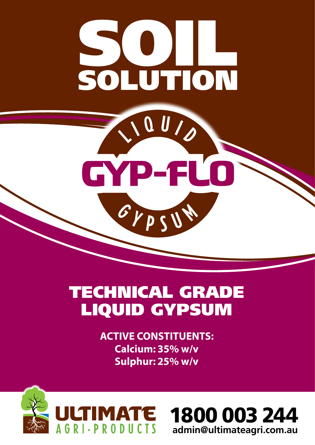

OU/

GYP-FLO

GYPSU

# TECHNICAL GRADE LIQUID GYPSUM

**ACTIVE CONSTITUENTS: Calcium: 35% w/v Sulphur: 25% w/v**



1800 003 244 **admin@ultimateagri.com.au**